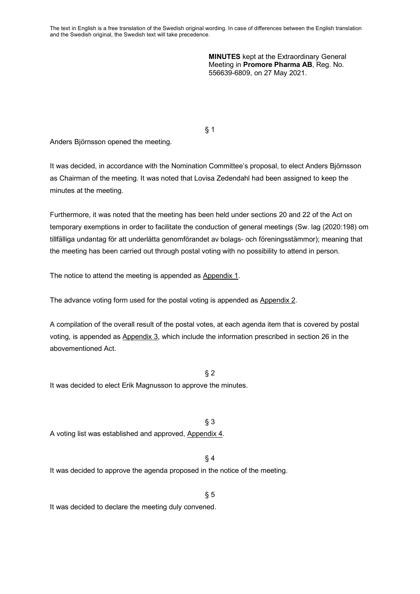The text in English is a free translation of the Swedish original wording. In case of differences between the English translation and the Swedish original, the Swedish text will take precedence.

> **MINUTES** kept at the Extraordinary General Meeting in **Promore Pharma AB**, Reg. No. 556639-6809, on 27 May 2021.

§ 1

Anders Björnsson opened the meeting.

It was decided, in accordance with the Nomination Committee's proposal, to elect Anders Björnsson as Chairman of the meeting. It was noted that Lovisa Zedendahl had been assigned to keep the minutes at the meeting.

Furthermore, it was noted that the meeting has been held under sections 20 and 22 of the Act on temporary exemptions in order to facilitate the conduction of general meetings (Sw. lag (2020:198) om tillfälliga undantag för att underlätta genomförandet av bolags- och föreningsstämmor); meaning that the meeting has been carried out through postal voting with no possibility to attend in person.

The notice to attend the meeting is appended as Appendix 1.

The advance voting form used for the postal voting is appended as Appendix 2.

A compilation of the overall result of the postal votes, at each agenda item that is covered by postal voting, is appended as Appendix 3, which include the information prescribed in section 26 in the abovementioned Act.

 $§$  2

It was decided to elect Erik Magnusson to approve the minutes.

§ 3 A voting list was established and approved, Appendix 4.

§ 4

 $§ 5$ 

It was decided to approve the agenda proposed in the notice of the meeting.

It was decided to declare the meeting duly convened.